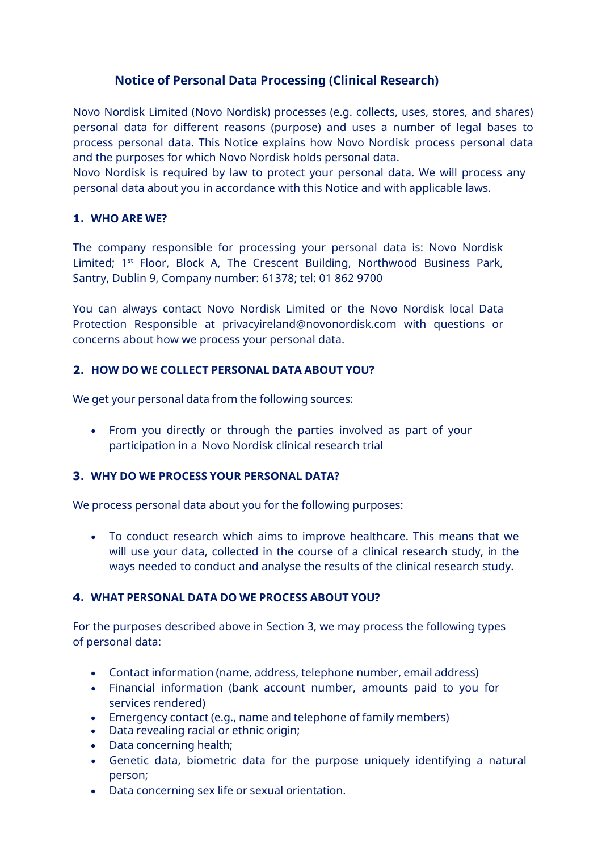# **Notice of Personal Data Processing (Clinical Research)**

Novo Nordisk Limited (Novo Nordisk) processes (e.g. collects, uses, stores, and shares) personal data for different reasons (purpose) and uses a number of legal bases to process personal data. This Notice explains how Novo Nordisk process personal data and the purposes for which Novo Nordisk holds personal data.

Novo Nordisk is required by law to protect your personal data. We will process any personal data about you in accordance with this Notice and with applicable laws.

### **1. WHO ARE WE?**

The company responsible for processing your personal data is: Novo Nordisk Limited; 1<sup>st</sup> Floor, Block A, The Crescent Building, Northwood Business Park, Santry, Dublin 9, Company number: 61378; tel: 01 862 9700

You can always contact Novo Nordisk Limited or the Novo Nordisk local Data Protection Responsible at [privacyireland@novonordisk.com](mailto:privacyireland@novonordisk.com) with questions or concerns about how we process your personal data.

# **2. HOW DO WE COLLECT PERSONAL DATA ABOUT YOU?**

We get your personal data from the following sources:

• From you directly or through the parties involved as part of your participation in a Novo Nordisk clinical research trial

# **3. WHY DO WE PROCESS YOUR PERSONAL DATA?**

We process personal data about you for the following purposes:

• To conduct research which aims to improve healthcare. This means that we will use your data, collected in the course of a clinical research study, in the ways needed to conduct and analyse the results of the clinical research study.

# **4. WHAT PERSONAL DATA DO WE PROCESS ABOUT YOU?**

For the purposes described above in Section 3, we may process the following types of personal data:

- Contact information (name, address, telephone number, email address)
- Financial information (bank account number, amounts paid to you for services rendered)
- Emergency contact (e.g., name and telephone of family members)
- Data revealing racial or ethnic origin;
- Data concerning health;
- Genetic data, biometric data for the purpose uniquely identifying a natural person;
- Data concerning sex life or sexual orientation.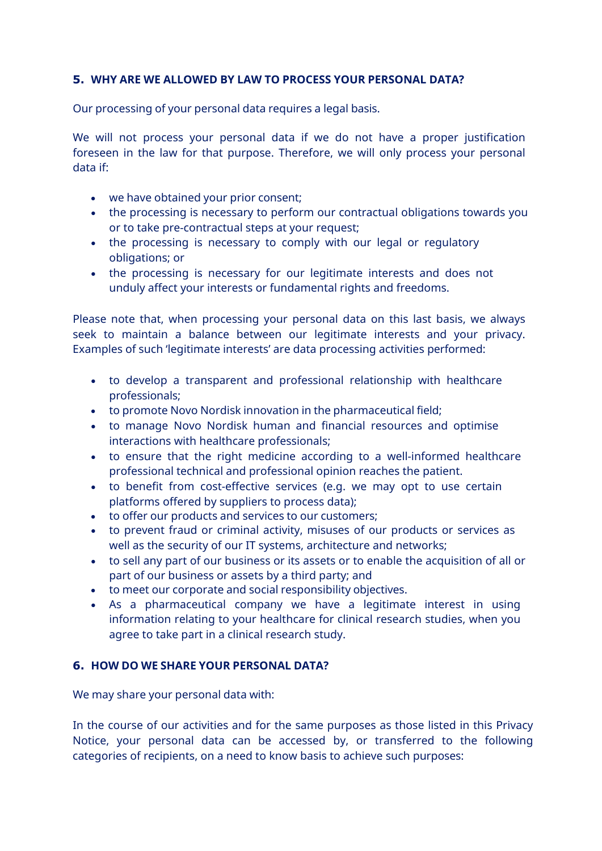### **5. WHY ARE WE ALLOWED BY LAW TO PROCESS YOUR PERSONAL DATA?**

Our processing of your personal data requires a legal basis.

We will not process your personal data if we do not have a proper justification foreseen in the law for that purpose. Therefore, we will only process your personal data if:

- we have obtained your prior consent;
- the processing is necessary to perform our contractual obligations towards you or to take pre-contractual steps at your request;
- the processing is necessary to comply with our legal or regulatory obligations; or
- the processing is necessary for our legitimate interests and does not unduly affect your interests or fundamental rights and freedoms.

Please note that, when processing your personal data on this last basis, we always seek to maintain a balance between our legitimate interests and your privacy. Examples of such 'legitimate interests' are data processing activities performed:

- to develop a transparent and professional relationship with healthcare professionals;
- to promote Novo Nordisk innovation in the pharmaceutical field;
- to manage Novo Nordisk human and financial resources and optimise interactions with healthcare professionals;
- to ensure that the right medicine according to a well-informed healthcare professional technical and professional opinion reaches the patient.
- to benefit from cost-effective services (e.g. we may opt to use certain platforms offered by suppliers to process data);
- to offer our products and services to our customers;
- to prevent fraud or criminal activity, misuses of our products or services as well as the security of our IT systems, architecture and networks;
- to sell any part of our business or its assets or to enable the acquisition of all or part of our business or assets by a third party; and
- to meet our corporate and social responsibility objectives.
- As a pharmaceutical company we have a legitimate interest in using information relating to your healthcare for clinical research studies, when you agree to take part in a clinical research study.

# **6. HOW DO WE SHARE YOUR PERSONAL DATA?**

We may share your personal data with:

In the course of our activities and for the same purposes as those listed in this Privacy Notice, your personal data can be accessed by, or transferred to the following categories of recipients, on a need to know basis to achieve such purposes: